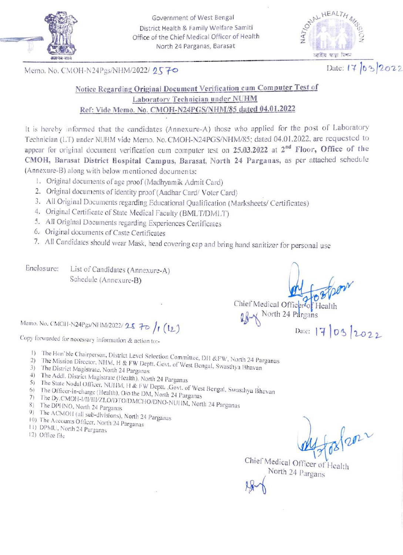

Government of West Bengal District Health & Family Welfare Samiti Office of the Chief Medical Officer of Health North 24 Parganas, Barasat

AL HEALTH জাতীয় স্বাস্থা মিশন

Memo. No. CMOH-N24Pgs/NHM/2022/ 2570 Date: 17 03 2022

## Notice Regarding Original Document Verification cum Computer Test of Laboratory Technician under NUHM Ref: Vide Memo. No. CMOH-N24PGS/NHM/S5 dated 04,01.2022

It is hereby informed that the candidates (Annexure-A) those who applied for the post of Laboratory Technician (LT) under NUHM vide Memo. No. CMOH-N24PGS/NHM/85; dated 04.01.2022, are requested to appear for original document verification cum computer test on 25.03.2022 at 2<sup>nd</sup> Floor, Office of the CMOH, Barasat District Hospital Campus, Barasat, North 24 Parganas, as per attached schedule (Annexure-B) along with below mentioned documents:

- 1. Original documents of age proof (Madhyamik Admit Card)
- 2. Original documents of identity proof (Aadhar Card/ Voter Card)
- 3. All Original Documents regarding Educational Qualification (Marksheets/ Certificates)
- 4. Original Certificate of State Medical Faculty (BMLT/DMILT)
- 5. All Original Documents regarding Experiences Certificates
- 6. Original documents of Caste Certificates
- 7. All Candidates should wear Mask, head covering cap and bring hand sanitizer for personal use

Enclosure: List of Candidates (Annexure-A) Schedule (Annexure-B)

m

Chief Medical Officer<sup>7</sup>of Health North 24 Pdrgans

Memo. No. CMOH-N24Pgs/NHM/2022/25 70 /1 (12)  $D$  Daic: 17 03 2022

Copy forwarded for necessary information & action to:-

- 
- 1) The Hon'ble Chairperson, District Level Selection Committee, DH &FW, North 24 Parganas<br>2) The Mission Director, NHM, H & FW Deptt. Govt. of West Bengal, Swasthya Bhavan<br>3) The District Magistrate. North 24 Parganas 2) The Mission Director, NHM, H & FW Deptt. Govt. of West Bengal, Swasthya Bhavan 3) The District Magistrate (Health). North 24 Parganas 4) The Addl. District Magistrate (Health). North 24 Parganas
- 
- 5) The
- 6) The 6) The Officer-in-charge (Health), O/o the DM, North 24 Parganas
- 
- 7) The Dy.CMOH-I/II/III/ZLO/DTO/DMCHO/DNO-NUHM, North 24 Parganas<br>8) The DPHNO, North 24 Parganas<br>9) The ACMOH (all sub-divisions), North 24 Parganas<br>10) The Accounts Officer, North 24 Parganas<br>11) DPMU, North 24 Parganas<br>
- 
- 
- 
- 

Chief Medical Officer of Health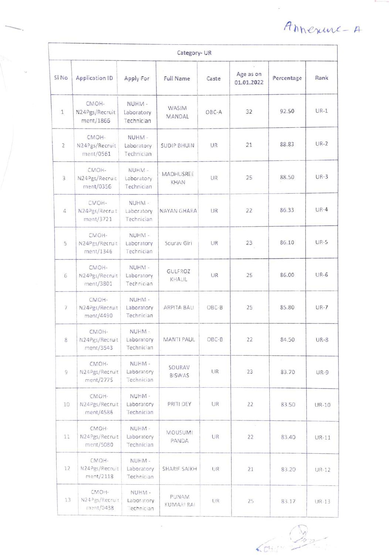Ahnexure-A

| Category-UR    |                                      |                                    |                            |           |                         |            |             |  |  |
|----------------|--------------------------------------|------------------------------------|----------------------------|-----------|-------------------------|------------|-------------|--|--|
| Si No          | <b>Application ID</b>                | Apply For                          | <b>Full Name</b>           | Caste     | Age as on<br>01.01.2022 | Percentage | Rank        |  |  |
| $\mathbf{1}$   | CMOH-<br>N24Pgs/Recruit<br>ment/1866 | NUHM-<br>Laboratory<br>Technician  | WASIM<br>MANDAL            | OBC-A     | 32                      | 92.50      | $UR-1$      |  |  |
| $\overline{2}$ | CMOH-<br>N24Pgs/Recruit<br>ment/0561 | NUHM-<br>Laboratory<br>Technician  | <b>SUDIP BHUIN</b>         | <b>UR</b> | 21                      | 88.83      | $UR-2$      |  |  |
| 3              | CMOH-<br>N24Pgs/Recruit<br>ment/0356 | NUHM-<br>Laboratory<br>Technician  | MADHUSREE<br>KHAN          | UR        | 25                      | 88.50      | $UR-3$      |  |  |
| 4              | CMOH-<br>N24Pgs/Recruit<br>ment/3721 | NUHM-<br>Laboratory<br>Technician  | NAYAN GHARA                | UR        | 22                      | 86.33      | $UR-4$      |  |  |
| 5              | CMOH-<br>N24Pgs/Recruit<br>ment/1346 | NUHM-<br>Laboratory<br>Technician  | Sourav Giri                | UR        | 23                      | 86.10      | <b>UR-5</b> |  |  |
| 6              | CMOH-<br>N24Pgs/Recruit<br>ment/3801 | NUHM -<br>Laboratory<br>Technician | GULFROZ<br>KHALIL          | UR        | 25                      | 86.00      | $UR-6$      |  |  |
| 7              | CMOH-<br>N24Pgs/Recruit<br>ment/4490 | NUHM-<br>Laboratory<br>Technician  | ARPITA BALI                | OBC-B     | 25                      | 85.80      | $UR - 7$    |  |  |
| 8              | CMOH-<br>N24Pgs/Recruit<br>ment/3543 | NUHM -<br>Laboratory<br>Technician | MANTI PAUL                 | OBC-B     | 22                      | 84.50      | $UR-S$      |  |  |
| 9              | CMOH-<br>N24Pgs/Recruit<br>ment/2775 | NUHM-<br>Laboratory<br>Technician  | SOURAV<br><b>BISWAS</b>    | UR        | 23                      | 83.70      | $UR-9$      |  |  |
| 10             | CMOH-<br>N24Pgs/Recruit<br>ment/4586 | NUHM-<br>Laboratory<br>Technician  | PRITI DEY                  | UR        | 22                      | 83.50      | UR-10       |  |  |
| 11             | CMOH-<br>N24Pgs/Recruit<br>ment/5080 | NUHM-<br>Laboratory<br>Technician  | <b>MOUSUMI</b><br>PANDA    | UR        | 22                      | 83,40      | $UR-11$     |  |  |
| 12             | CMOH-<br>N24Pgs/Recruit<br>ment/2118 | NUHM-<br>Laboratory<br>Technician  | SHARIF SAIKH               | UR        | 21                      | 83.20      | UR-12       |  |  |
| 13             | CMOH-<br>N24Pgs/Recruit<br>ment/0438 | NUHM -<br>Laboratory<br>lechnician | <b>PUNAM</b><br>KUMARI RAI | UR        | 25                      | 83.17      | UR-13       |  |  |

ä,

 $65$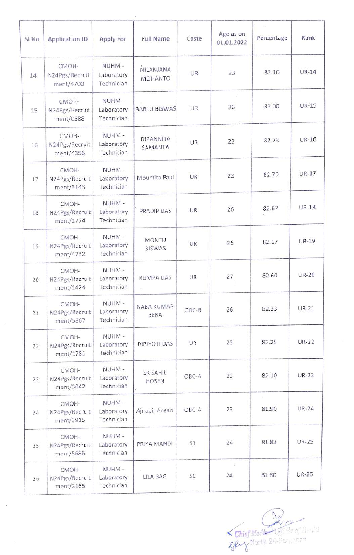| SI No | <b>Application ID</b>                | Apply For                          | <b>Full Name</b>            | Caste     | Age as on<br>01.01.2022 | Percentage | Rank         |
|-------|--------------------------------------|------------------------------------|-----------------------------|-----------|-------------------------|------------|--------------|
| 14    | CMOH-<br>N24Pgs/Recruit<br>ment/4700 | NUHM-<br>Laboratory<br>Technician  | NILANJANA<br><b>MOHANTO</b> | UR        | 23                      | 83.10      | <b>UR-14</b> |
| 15    | CMOH-<br>N24Pgs/Recruit<br>ment/0588 | NUHM -<br>Laboratory<br>Technician | <b>BABLU BISWAS</b>         | UR        | 26                      | 83.00      | <b>UR-15</b> |
| 16    | CMOH-<br>N24Pgs/Recruit<br>ment/4356 | NUHM -<br>Laboratory<br>Technician | <b>DIPANNITA</b><br>SAMANTA | UR        | 22                      | 82.73      | UR-16        |
| 17    | CMOH-<br>N24Pgs/Recruit<br>ment/3143 | NUHM-<br>Laboratory<br>Technician  | Moumita Paul                | UR        | 22                      | 82.70      | UR-17        |
| 18    | CMOH-<br>N24Pgs/Recruit<br>ment/1774 | NUHM -<br>Laboratory<br>Technician | PRADIP DAS                  | <b>UR</b> | 26                      | 82.67      | <b>UR-18</b> |
| 19    | CMOH-<br>N24Pgs/Recruit<br>ment/4732 | NUHM-<br>Laboratory<br>Technician  | MONTU<br><b>BISWAS</b>      | UR        | 26                      | 82.67      | UR-19        |
| 20    | CMOH-<br>N24Pgs/Recruit<br>ment/1424 | NUHM-<br>Laboratory<br>Technician  | RUMPA DAS                   | <b>UR</b> | 27                      | 82.60      | <b>UR-20</b> |
| 21    | CMOH-<br>N24Pgs/Recruit<br>ment/5867 | NUHM-<br>Laboratory<br>Technician  | NABA KUMAR<br><b>BERA</b>   | $OBC-B$   | 26                      | 82.33      | $UR-21$      |
| 22    | CMOH-<br>N24Pgs/Recruit<br>ment/1781 | NUHM -<br>Laboratory<br>Technician | DIPJYOTI DAS                | UR        | 23                      | 82.25      | <b>UR-22</b> |
| 23    | CMOH-<br>N24Pgs/Recruit<br>ment/3042 | NUHM-<br>Laboratory<br>Technician  | SK SAHIL<br>HOSEN           | OBC-A     | 23                      | 82.10      | $UR-23$      |
| 24    | CMOH-<br>N24Pgs/Recruit<br>ment/3915 | NUHM-<br>Laboratory<br>Technician  | Ajnabir Ansari              | OBC-A     | 23                      | 81.90      | <b>UR-24</b> |
| 25    | CMOH-<br>N24Pgs/Recruit<br>ment/5686 | NUHM-<br>Laboratory<br>Technician  | PRIYA MANDI                 | ST        | 24                      | 81.83      | <b>UR-25</b> |
| 26    | CMOH-<br>N24Pgs/Recruit<br>ment/2165 | NUHM-<br>Laboratory<br>Technician  | LILA BAG                    | SC        | 24                      | 81.80      | <b>UR-26</b> |

Chief Meclie Latin of Health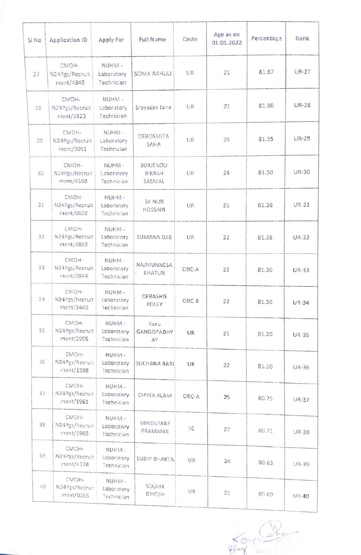| SI No | Application ID                       | Apply For                          | <b>Full Name</b>                | Caste | Age as on<br>01.01.2022 | Percentage | Rank         |
|-------|--------------------------------------|------------------------------------|---------------------------------|-------|-------------------------|------------|--------------|
| 27    | CMOH-<br>N24Pgs/Recruit<br>ment/4846 | NUHM-<br>Laboratory<br>Technician  | <b>SOMA AKHULI</b>              | UR    | 21                      | 81.67      | <b>UR-27</b> |
| 28    | CMOH-<br>N24Pgs/Recruit<br>ment/2823 | NUHM -<br>Laboratory<br>Technician | Sreyasee Jana                   | UR    | 21                      | 81.60      | <b>UR-28</b> |
| 29    | CMOH-<br>N24Pgs/Recruit<br>ment/3091 | NUHM-<br>Laboratory<br>Technician  | DEBOSMITA<br>SAHA               | UR    | 24                      | 81.55      | <b>UR-29</b> |
| 30    | CMOH-<br>N24Pgs/Recruit<br>ment/4590 | NUHM-<br>Laboratory<br>Technician  | SURJENDU<br>BIKASH<br>SASMAL    | UR    | $24 -$                  | 81.50      | UR-30        |
| 31    | CMOH-<br>N24Pgs/Recruit<br>ment/0602 | NUHM-<br>Laboratory<br>Technician  | <b>SK NUR</b><br><b>HOSSAIN</b> | UR    | 25                      | 81.38      | <b>UR-31</b> |
| 32    | CMOH-<br>N24Pgs/Recruit<br>ment/4892 | NUHM-<br>Laboratory<br>Technician  | <b>SUMANA DAS</b>               | UR    | 22                      | 81.38      | <b>UR-32</b> |
| 33    | CMOH-<br>N24Pgs/Recruit<br>ment/0944 | NUHM-<br>Laboratory<br>Technician  | NAJMUNNESA<br>KHATUN            | OBC-A | 22                      | 81.30      | <b>UR-33</b> |
| 34    | CMOH-<br>N24Pgs/Recruit<br>ment/1440 | NUHM-<br>Laboratory<br>Technician  | DEBASHIS<br>KOLEY               | OBC-B | 22                      | 81.30      | <b>UR-34</b> |
| 35    | CMOH-<br>N24Pgs/Recruit<br>ment/2995 | NUHM-<br>Laboratory<br>Technician  | Ranu<br><b>GANGOPADHY</b><br>AY | UR    | 21                      | 81.20      | <b>UR-35</b> |
| 36    | CMOH-<br>N24Pgs/Recruit<br>ment/1598 | NUHM-<br>Laboratory<br>Technician  | SUCHANA BARI                    | UR    | 22                      | 81.10      | <b>UR-36</b> |
| 37    | CMOH-<br>N24Pgs/Recruit<br>ment/1961 | NUHM-<br>Laboratory<br>Technician  | DIPIKA ALAM                     | OBC-A | 25                      | 80.75      | <b>UR-37</b> |
| 38    | CMOH-<br>N24Pgs/Recruit<br>ment/3965 | NUHM-<br>Laboratory<br>Technician  | MRIDUMAY<br>PRAMANIK            | SC    | 27                      | 80.71      | <b>UR-38</b> |
| 39    | CMOH-<br>N24Pgs/Recruit<br>ment/4374 | NUHM-<br>Laboratory<br>Technician  | SUDIP BHAKTA                    | UR.   | 24                      | 80.63      | <b>UR-39</b> |
| 40    | CMOH-<br>N24Pgs/Recruit<br>ment/0365 | NUHM-<br>Laboratory<br>Technician  | SOUVIK<br>GHOSH                 | UR    | 21                      | 80.60      | <b>UR-40</b> |

Entref:  $\mathbb{R}$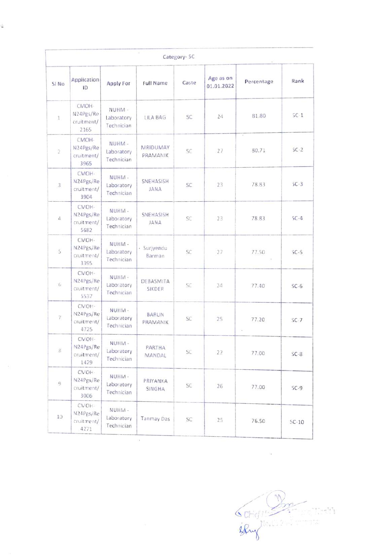| Category-SC      |                                          |                                   |                             |       |                         |             |         |  |
|------------------|------------------------------------------|-----------------------------------|-----------------------------|-------|-------------------------|-------------|---------|--|
| SI <sub>No</sub> | Application<br>ID                        | Apply For                         | Full Name                   | Caste | Age as on<br>01.01.2022 | Percentage  | Rank    |  |
| $\mathbf{1}$     | CMOH-<br>N24Pgs/Re<br>cruitment/<br>2165 | NUHM-<br>Laboratory<br>Technician | LILA BAG                    | SC    | 24                      | 81.80       | $SC-1$  |  |
| $\bar{2}$        | CMOH-<br>N24Pgs/Re<br>cruitment/<br>3965 | NUHM-<br>Laboratory<br>Technician | MRIDUMAY<br><b>PRAMANIK</b> | SC    | 27                      | 80.71       | $SC-2$  |  |
| 3                | CMOH-<br>N24Pgs/Re<br>cruitment/<br>3904 | NUHM-<br>Laboratory<br>Technician | SNEHASISH<br>JANA           | SC.   | 23                      | 78.83       | $SC-3$  |  |
| $\Delta$         | CMOH-<br>N24Pgs/Re<br>cruitment/<br>5682 | NUHM-<br>Laboratory<br>Technician | SNEHASISH<br><b>JANA</b>    | SC    | 23                      | 78.83       | $SC-4$  |  |
| 5                | CMOH-<br>N24Pgs/Re<br>cruitment/<br>3395 | NUHM-<br>Laboratory<br>Technician | · Surjyendu<br>Barman       | SC.   | 27                      | 77.50<br>×. | $SC-5$  |  |
| 6.               | CMOH-<br>N24Pgs/Re<br>cruitment/<br>5537 | NUHM-<br>Laboratory<br>Technician | DEBASMITA<br>SIKDER         | SC.   | 24                      | 77.40       | $SC-6$  |  |
| $\gamma$         | CMOH-<br>N24Pgs/Re<br>cruitment/<br>4725 | NUHM-<br>Laboratory<br>Technician | BARUN<br><b>PRAMANIK</b>    | SC    | 25                      | 77.20       | $SC-7$  |  |
| 8.               | CMOH-<br>N24Pgs/Re<br>cruitment/<br>1429 | NUHM-<br>Laboratory<br>Technician | PARTHA<br>MANDAL            | SC    | 22                      | 77.00       | $SC-8$  |  |
| $\mathbb{Q}$     | CMOH-<br>N24Pgs/Re<br>cruitment/<br>3006 | NUHM-<br>Laboratory<br>Technician | PRIYANKA<br>SINGHA          | SC    | 26                      | 77.00       | $SC-9$  |  |
| 10 <sub>10</sub> | CMOH-<br>N24Pgs/Re<br>cruitment/<br>4271 | NUHM-<br>Laboratory<br>Technician | Tanmay Das                  | SC    | 25                      | 76.50       | $SC-10$ |  |

è

Schieffert

 $\ddot{\phantom{a}}$ 

 $\bar{\alpha}$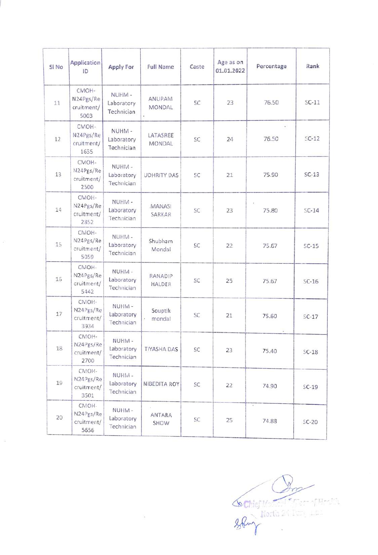| Si No | <b>Application</b><br>ID                 | <b>Apply For</b>                  | <b>Full Name</b>         | Caste | Age as on<br>01.01.2022 | Percentage         | Rank    |
|-------|------------------------------------------|-----------------------------------|--------------------------|-------|-------------------------|--------------------|---------|
| 11    | CMOH-<br>N24Pgs/Re<br>cruitment/<br>5003 | NUHM-<br>Laboratory<br>Technician | ANUPAM<br>MONDAL<br>¥,   | SC    | 23                      | 76.50              | $SC-11$ |
| 12    | CMOH-<br>N24Pgs/Re<br>cruitment/<br>1635 | NUHM-<br>Laboratory<br>Technician | LATASREE<br>MONDAL       | SC    | 24                      | $\bullet$<br>76.50 | $SC-12$ |
| 13    | CMOH-<br>N24Pgs/Re<br>cruitment/<br>2500 | NUHM-<br>Laboratory<br>Technician | <b>UDHRITY DAS</b>       | SC    | 21                      | 75.90              | $SC-13$ |
| 14    | CMOH-<br>N24Pgs/Re<br>cruitment/<br>2852 | NUHM-<br>Laboratory<br>Technician | MANASI<br>SARKAR         | SC    | 23                      | 75.80              | $SC-14$ |
| 15    | CMOH-<br>N24Pgs/Re<br>cruitment/<br>5059 | NUHM-<br>Laboratory<br>Technician | Shubham<br>Mondal        | SC    | 22                      | 75.67              | $SC-15$ |
| 16    | CMOH-<br>N24Pgs/Re<br>cruitment/<br>5442 | NUHM-<br>Laboratory<br>Technician | <b>RANADIP</b><br>HALDER | SC.   | 25                      | 75.67              | $SC-16$ |
| 17    | CMOH-<br>N24Pgs/Re<br>cruitment/<br>3934 | NUHM-<br>Laboratory<br>Technician | Souptik<br>mondal        | SC    | 21                      | 75.60              | $SC-17$ |
| 18    | CMOH-<br>N24Pgs/Re<br>cruitment/<br>2700 | NUHM-<br>Laboratory<br>Technician | <b>TIYASHA DAS</b>       | SC    | 23                      | 75.40              | $SC-18$ |
| 19    | CMOH-<br>N24Pgs/Re<br>cruitment/<br>3501 | NUHM-<br>Laboratory<br>Technician | NIBEDITA ROY             | SC    | 22                      | 74.90              | $SC-19$ |
| 20    | CMOH-<br>N24Pgs/Re<br>cruitment/<br>5656 | NUHM-<br>Laboratory<br>Technician | ANTARA<br>SHOW           | SC    | 25                      | ¥,<br>74.88        | $SC-20$ |

ř

 $\widetilde{\mathbb{H}}$ 

 $\delta$  Chief Nort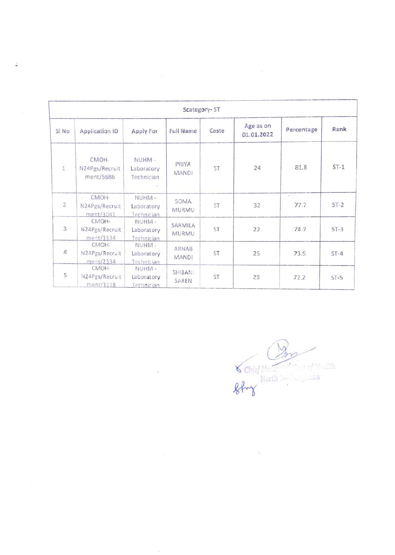| Scategory-ST   |                                      |                                   |                              |       |                         |            |        |  |
|----------------|--------------------------------------|-----------------------------------|------------------------------|-------|-------------------------|------------|--------|--|
| SI No          | Application ID                       | Apply For                         | <b>Full Name</b>             | Caste | Age as on<br>01.01.2022 | Percentage | Rank   |  |
| $\,1$          | CMOH-<br>N24Pgs/Recruit<br>ment/5686 | NUHM-<br>Laboratory<br>Technician | PRIYA<br><b>MANDI</b>        | ST    | 24                      | 81.8       | $ST-1$ |  |
| $\overline{2}$ | CMOH-<br>N24Pgs/Recruit<br>ment/3041 | NUHM-<br>Laboratory<br>Technician | SOMA<br>MURMU                | ST    | 32                      | W<br>77.7  | $ST-2$ |  |
| 3              | CMOH-<br>N24Pgs/Recruit<br>ment/3534 | NUHM-<br>Laboratory<br>Technician | SARMILA<br>MURMU             | ST    | 22                      | 74.7       | $ST-3$ |  |
| 4              | CMOH-<br>N24Pgs/Recruit<br>ment/2534 | NUHM-<br>Laboratory<br>Technician | <b>ARNAB</b><br><b>MANDI</b> | ST    | 25                      | 73.5       | $ST-4$ |  |
| 5              | CMOH-<br>N24Pgs/Recruit<br>min/3118  | NUHM-<br>Laboratory<br>Technician | SHIBAN.<br>SAREN             | ST    | 29                      | 72.2       | $ST-5$ |  |

 $\sim 10^{-11}$ 

 $\widehat{\alpha}$ 

÷,

 $\bigotimes$  Chief Me North 2

 $\widetilde{\mathcal{D}}$ 

 $_{\odot}$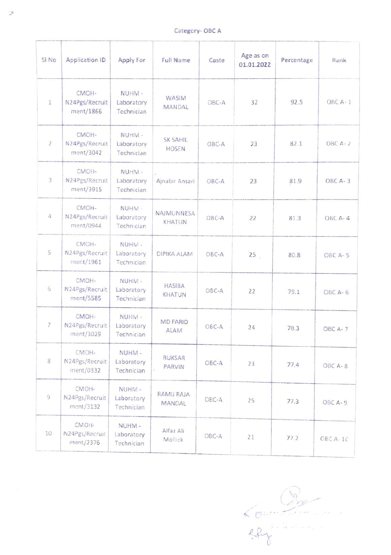Category-OBC A

| Category-OBC A |                                      |                                   |                                 |       |                         |            |          |  |
|----------------|--------------------------------------|-----------------------------------|---------------------------------|-------|-------------------------|------------|----------|--|
| SI No          | Application ID                       | <b>Apply For</b>                  | <b>Full Name</b>                | Caste | Age as on<br>01.01.2022 | Percentage | Rank     |  |
| 1              | CMOH-<br>N24Pgs/Recruit<br>ment/1866 | NUHM-<br>Laboratory<br>Technician | WASIM<br>MANDAL                 | OBC-A | 32                      | 92.5       | OBC A-1  |  |
| $\overline{2}$ | CMOH-<br>N24Pgs/Recruit<br>ment/3042 | NUHM-<br>Laboratory<br>Technician | <b>SK SAHIL</b><br><b>HOSEN</b> | OBC-A | 23                      | 82.1       | OBC A-2  |  |
| 3              | CMOH-<br>N24Pgs/Recruit<br>ment/3915 | NUHM-<br>Laboratory<br>Technician | Ajnabir Ansari                  | OBC-A | 23                      | 81.9       | OBC A-3  |  |
| 4              | CMOH-<br>N24Pgs/Recruit<br>ment/0944 | NUHM-<br>Laboratory<br>Technician | NAJMUNNESA<br>KHATUN            | OBC-A | 22                      | 81.3       | OBC A-4  |  |
| 5              | CMOH-<br>N24Pgs/Recruit<br>ment/1961 | NUHM-<br>Laboratory<br>Technician | DIPIKA ALAM                     | OBC-A | 25 <sub>1</sub>         | 80.8       | OBC A-5  |  |
| 6              | CMOH-<br>N24Pgs/Recruit<br>ment/5585 | NUHM-<br>Laboratory<br>Technician | <b>HASIBA</b><br><b>KHATUN</b>  | OBC-A | 22                      | 79.1       | OBC A-6  |  |
| 7              | CMOH-<br>N24Pgs/Recruit<br>ment/3029 | NUHM-<br>Laboratory<br>Technician | <b>MD FARID</b><br>ALAM         | OBC-A | 24                      | 78.3       | OBC A-7  |  |
| 8              | CMOH-<br>N24Pgs/Recruit<br>ment/0332 | NUHM-<br>Laboratory<br>Technician | <b>RUKSAR</b><br>PARVIN         | OBC-A | 23                      | 77.4       | OBC A-8  |  |
| 9              | CMOH-<br>N24Pgs/Recruit<br>ment/3132 | NUHM-<br>Laboratory<br>Technician | RAMIJ RAJA<br>MANDAL            | OBC-A | 25                      | 77.3       | OBC A-9  |  |
| 10             | CMOH-<br>N24Pgs/Recruit<br>ment/2376 | NUHM-<br>Laboratory<br>Technician | Alfaz Ali<br>Mollick            | OBC-A | 21                      | 77.2       | OBC A-10 |  |

 $rac{b_{n}}{c_{n+1}}$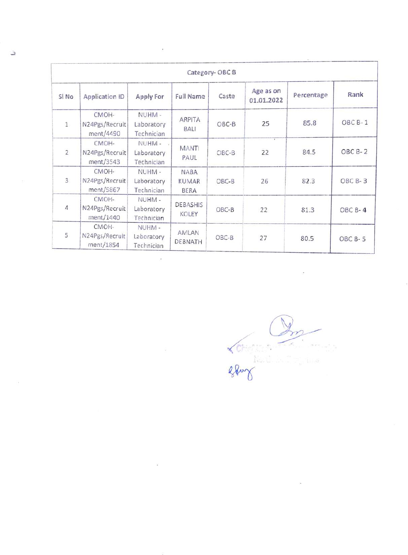| Category-OBCB    |                                      |                                    |                                            |         |                         |            |         |  |
|------------------|--------------------------------------|------------------------------------|--------------------------------------------|---------|-------------------------|------------|---------|--|
| SI <sub>No</sub> | <b>Application ID</b>                | Apply For                          | <b>Full Name</b>                           | Caste   | Age as on<br>01.01.2022 | Percentage | Rank    |  |
| 1                | CMOH-<br>N24Pgs/Recruit<br>ment/4490 | NUHM-<br>Laboratory<br>Technician  | ARPITA<br><b>BALI</b>                      | $OBC-B$ | 25                      | 85.8       | OBC B-1 |  |
| $\overline{2}$   | CMOH-<br>N24Pgs/Recruit<br>ment/3543 | NUHM-<br>Laboratory<br>Technician  | <b>MANT</b><br>PAUL                        | $OBC-B$ | $\overline{1}$<br>22    | 84.5       | OBC B-2 |  |
| $\mathbf{3}$     | CMOH-<br>N24Pgs/Recruit<br>ment/5867 | NUHM -<br>Laboratory<br>Technician | <b>NABA</b><br><b>KUMAR</b><br><b>BERA</b> | $OBC-B$ | 26                      | 82.3       | OBC B-3 |  |
| $\overline{4}$   | CMOH-<br>N24Pgs/Recruit<br>ment/1440 | NUHM-<br>Laboratory<br>Technician  | DEBASHIS<br>KOLEY                          | OBC-B   | 22                      | 81.3       | OBC B-4 |  |
| 5                | CMOH-<br>N24Pgs/Recruit<br>ment/1854 | NUHM-<br>Laboratory<br>Technician  | AMLAN<br><b>DEBNATH</b>                    | OBC-B   | 27                      | 80.5       | OBC B-5 |  |

.

 $rac{Q_{\text{max}}}{Q_{\text{max}}}}$